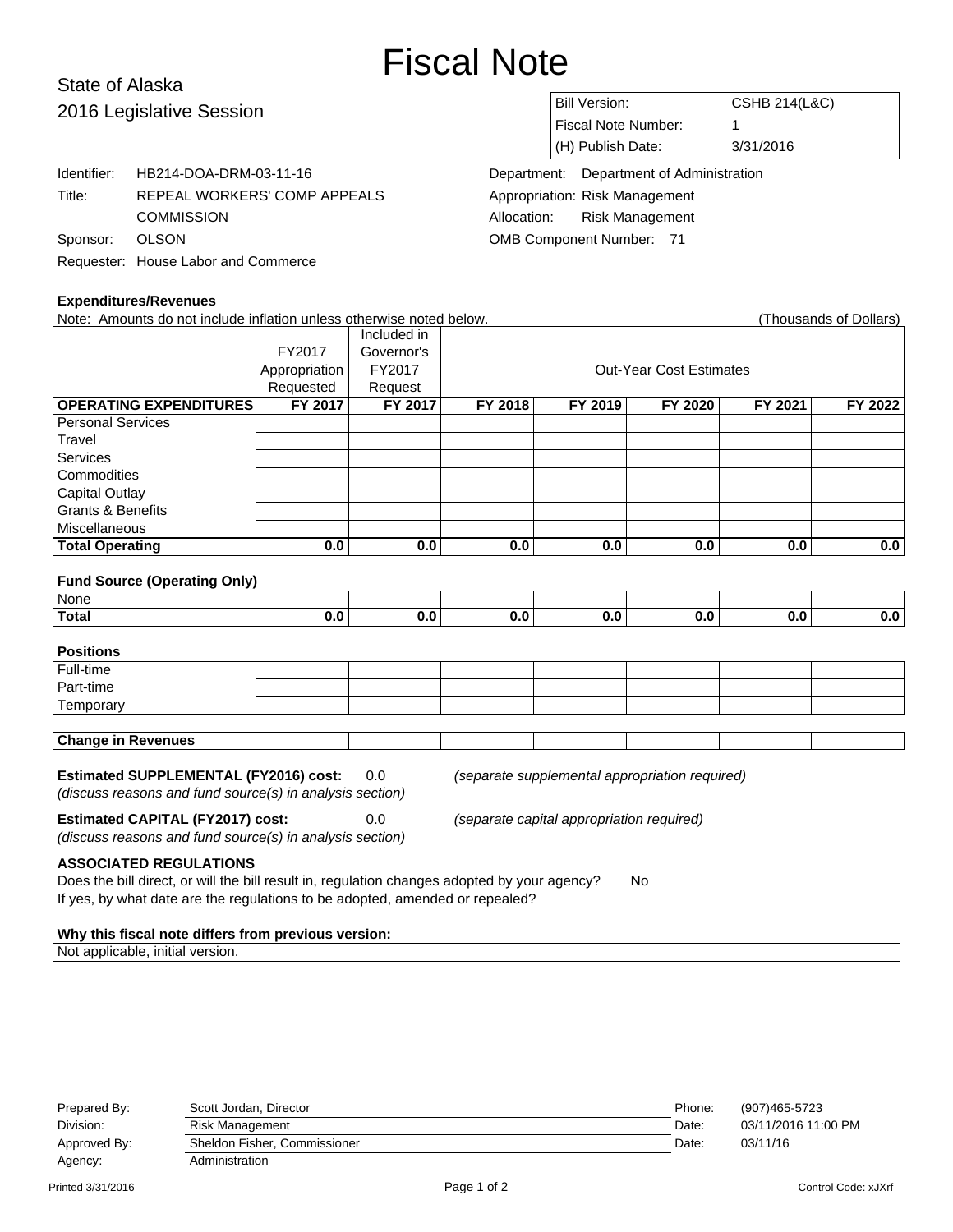# Fiscal Note

## State of Alaska 2016 Legislative Session

| סושטו ו ושטוש            |                                     |                                 |                            |                                          |                          |  |
|--------------------------|-------------------------------------|---------------------------------|----------------------------|------------------------------------------|--------------------------|--|
| 2016 Legislative Session |                                     |                                 | Bill Version:              |                                          | <b>CSHB 214(L&amp;C)</b> |  |
|                          |                                     |                                 | <b>Fiscal Note Number:</b> |                                          |                          |  |
|                          |                                     |                                 |                            | (H) Publish Date:                        | 3/31/2016                |  |
| Identifier:              | HB214-DOA-DRM-03-11-16              |                                 |                            | Department: Department of Administration |                          |  |
| Title:                   | REPEAL WORKERS' COMP APPEALS        |                                 |                            | Appropriation: Risk Management           |                          |  |
|                          | <b>COMMISSION</b>                   | Allocation:                     |                            | <b>Risk Management</b>                   |                          |  |
| Sponsor:                 | <b>OLSON</b>                        | <b>OMB Component Number: 71</b> |                            |                                          |                          |  |
|                          | Requester: House Labor and Commerce |                                 |                            |                                          |                          |  |
|                          |                                     |                                 |                            |                                          |                          |  |

## **Expenditures/Revenues**

| <b>LYPEIIAIIIII ESII/EIGIIIIES</b><br>Note: Amounts do not include inflation unless otherwise noted below. |           |                                           |         |                                                |         |         | (Thousands of Dollars) |  |
|------------------------------------------------------------------------------------------------------------|-----------|-------------------------------------------|---------|------------------------------------------------|---------|---------|------------------------|--|
|                                                                                                            |           | Included in                               |         |                                                |         |         |                        |  |
|                                                                                                            | FY2017    | Governor's                                |         |                                                |         |         |                        |  |
|                                                                                                            | FY2017    | <b>Out-Year Cost Estimates</b>            |         |                                                |         |         |                        |  |
|                                                                                                            | Requested | Request                                   |         |                                                |         |         |                        |  |
| <b>OPERATING EXPENDITURES</b>                                                                              | FY 2017   | FY 2017                                   | FY 2018 | FY 2019                                        | FY 2020 | FY 2021 | FY 2022                |  |
| <b>Personal Services</b>                                                                                   |           |                                           |         |                                                |         |         |                        |  |
| Travel                                                                                                     |           |                                           |         |                                                |         |         |                        |  |
| Services                                                                                                   |           |                                           |         |                                                |         |         |                        |  |
| Commodities                                                                                                |           |                                           |         |                                                |         |         |                        |  |
| Capital Outlay                                                                                             |           |                                           |         |                                                |         |         |                        |  |
| <b>Grants &amp; Benefits</b>                                                                               |           |                                           |         |                                                |         |         |                        |  |
| <b>Miscellaneous</b>                                                                                       |           |                                           |         |                                                |         |         |                        |  |
| <b>Total Operating</b>                                                                                     | 0.0       | 0.0                                       | 0.0     | 0.0                                            | 0.0     | 0.0     | 0.0                    |  |
| <b>Fund Source (Operating Only)</b>                                                                        |           |                                           |         |                                                |         |         |                        |  |
| None                                                                                                       |           |                                           |         |                                                |         |         |                        |  |
| <b>Total</b>                                                                                               | 0.0       | 0.0                                       | 0.0     | 0.0                                            | 0.0     | 0.0     | 0.0                    |  |
|                                                                                                            |           |                                           |         |                                                |         |         |                        |  |
| <b>Positions</b>                                                                                           |           |                                           |         |                                                |         |         |                        |  |
| Full-time                                                                                                  |           |                                           |         |                                                |         |         |                        |  |
| Part-time                                                                                                  |           |                                           |         |                                                |         |         |                        |  |
| Temporary                                                                                                  |           |                                           |         |                                                |         |         |                        |  |
|                                                                                                            |           |                                           |         |                                                |         |         |                        |  |
| <b>Change in Revenues</b>                                                                                  |           |                                           |         |                                                |         |         |                        |  |
|                                                                                                            |           |                                           |         |                                                |         |         |                        |  |
| <b>Estimated SUPPLEMENTAL (FY2016) cost:</b>                                                               |           | 0.0                                       |         | (separate supplemental appropriation required) |         |         |                        |  |
| (discuss reasons and fund source(s) in analysis section)                                                   |           |                                           |         |                                                |         |         |                        |  |
| <b>Estimated CAPITAL (FY2017) cost:</b>                                                                    | 0.0       | (separate capital appropriation required) |         |                                                |         |         |                        |  |

(discuss reasons and fund source(s) in analysis section)

## **ASSOCIATED REGULATIONS**

Does the bill direct, or will the bill result in, regulation changes adopted by your agency? No If yes, by what date are the regulations to be adopted, amended or repealed?

### **Why this fiscal note differs from previous version:**

Not applicable, initial version.

| Prepared By: | Scott Jordan, Director       | Phone: | (907)465-5723       |
|--------------|------------------------------|--------|---------------------|
| Division:    | Risk Management              | Date:  | 03/11/2016 11:00 PM |
| Approved By: | Sheldon Fisher, Commissioner | Date:  | 03/11/16            |
| Agency:      | Administration               |        |                     |